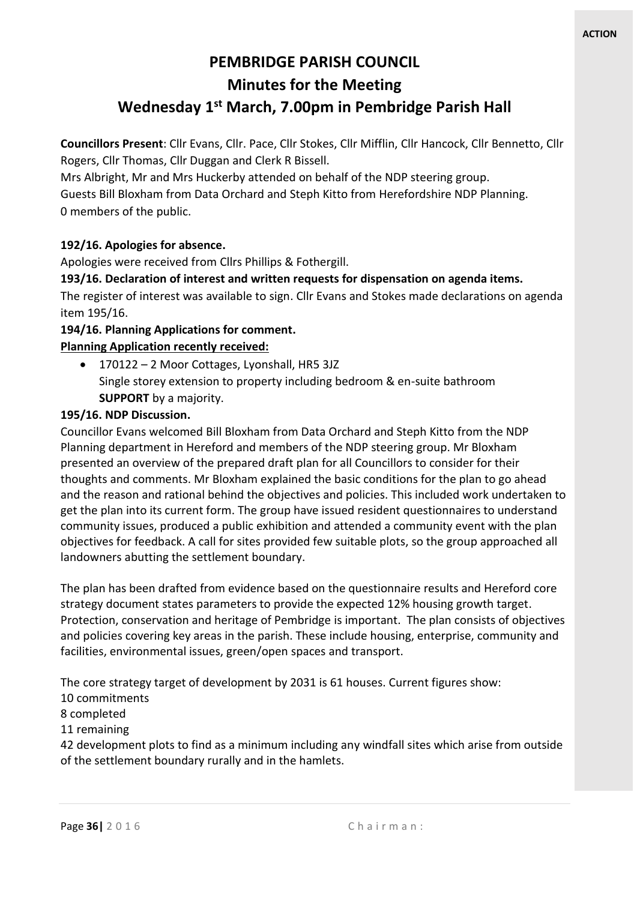# **PEMBRIDGE PARISH COUNCIL Minutes for the Meeting**

## **Wednesday 1 st March, 7.00pm in Pembridge Parish Hall**

**Councillors Present**: Cllr Evans, Cllr. Pace, Cllr Stokes, Cllr Mifflin, Cllr Hancock, Cllr Bennetto, Cllr Rogers, Cllr Thomas, Cllr Duggan and Clerk R Bissell.

Mrs Albright, Mr and Mrs Huckerby attended on behalf of the NDP steering group.

Guests Bill Bloxham from Data Orchard and Steph Kitto from Herefordshire NDP Planning. 0 members of the public.

### **192/16. Apologies for absence.**

Apologies were received from Cllrs Phillips & Fothergill.

#### **193/16. Declaration of interest and written requests for dispensation on agenda items.**

The register of interest was available to sign. Cllr Evans and Stokes made declarations on agenda item 195/16.

#### **194/16. Planning Applications for comment.**

#### **Planning Application recently received:**

• 170122 – 2 Moor Cottages, Lyonshall, HR5 3JZ Single storey extension to property including bedroom & en-suite bathroom **SUPPORT** by a majority.

#### **195/16. NDP Discussion.**

Councillor Evans welcomed Bill Bloxham from Data Orchard and Steph Kitto from the NDP Planning department in Hereford and members of the NDP steering group. Mr Bloxham presented an overview of the prepared draft plan for all Councillors to consider for their thoughts and comments. Mr Bloxham explained the basic conditions for the plan to go ahead and the reason and rational behind the objectives and policies. This included work undertaken to get the plan into its current form. The group have issued resident questionnaires to understand community issues, produced a public exhibition and attended a community event with the plan objectives for feedback. A call for sites provided few suitable plots, so the group approached all landowners abutting the settlement boundary.

The plan has been drafted from evidence based on the questionnaire results and Hereford core strategy document states parameters to provide the expected 12% housing growth target. Protection, conservation and heritage of Pembridge is important. The plan consists of objectives and policies covering key areas in the parish. These include housing, enterprise, community and facilities, environmental issues, green/open spaces and transport.

The core strategy target of development by 2031 is 61 houses. Current figures show:

- 10 commitments
- 8 completed
- 11 remaining

42 development plots to find as a minimum including any windfall sites which arise from outside of the settlement boundary rurally and in the hamlets.